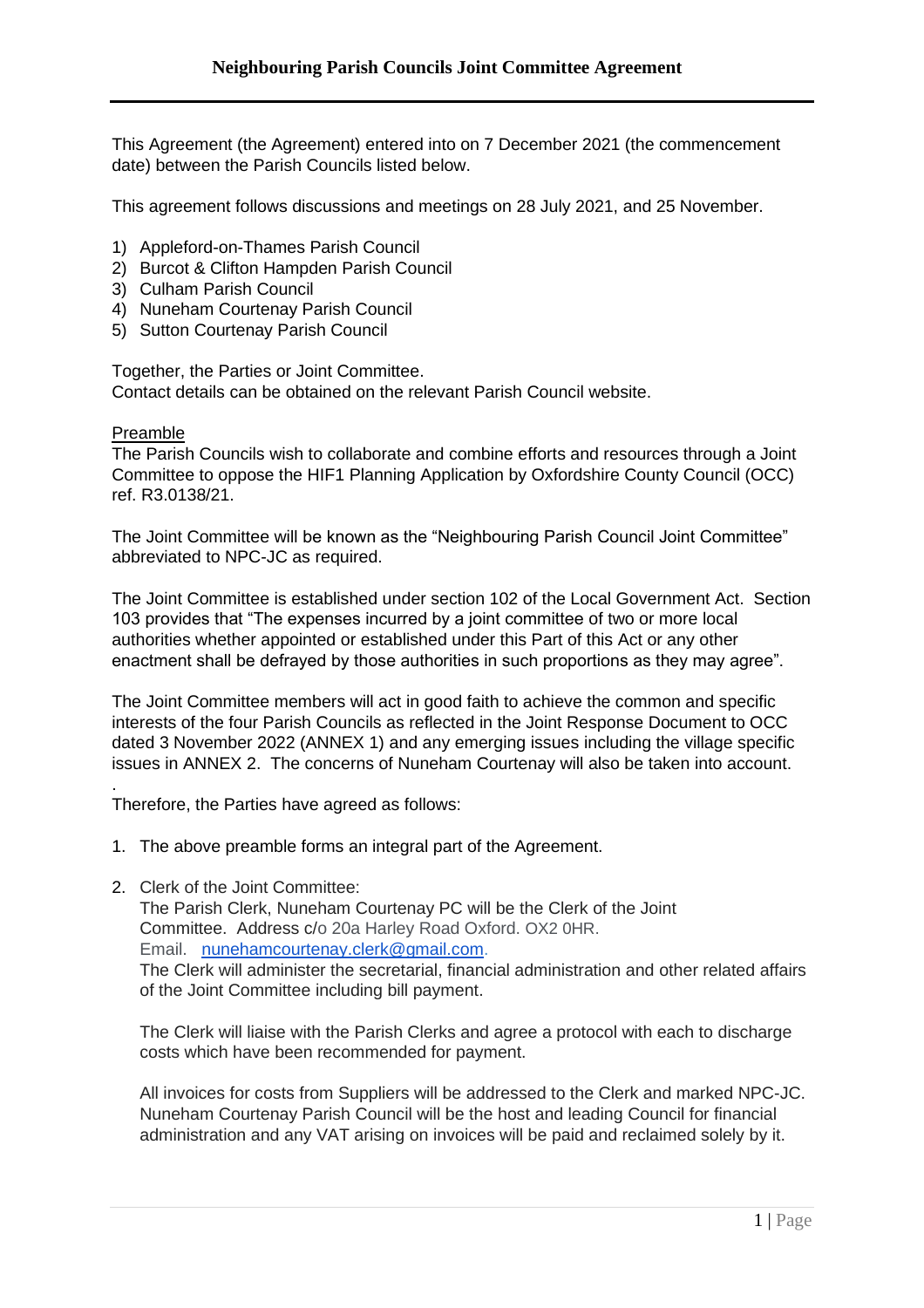This Agreement (the Agreement) entered into on 7 December 2021 (the commencement date) between the Parish Councils listed below.

This agreement follows discussions and meetings on 28 July 2021, and 25 November.

- 1) Appleford-on-Thames Parish Council
- 2) Burcot & Clifton Hampden Parish Council
- 3) Culham Parish Council
- 4) Nuneham Courtenay Parish Council
- 5) Sutton Courtenay Parish Council

Together, the Parties or Joint Committee. Contact details can be obtained on the relevant Parish Council website.

## Preamble

The Parish Councils wish to collaborate and combine efforts and resources through a Joint Committee to oppose the HIF1 Planning Application by Oxfordshire County Council (OCC) ref. R3.0138/21.

The Joint Committee will be known as the "Neighbouring Parish Council Joint Committee" abbreviated to NPC-JC as required.

The Joint Committee is established under section 102 of the Local Government Act. Section 103 provides that "The expenses incurred by a joint committee of two or more local authorities whether appointed or established under this Part of this Act or any other enactment shall be defrayed by those authorities in such proportions as they may agree".

The Joint Committee members will act in good faith to achieve the common and specific interests of the four Parish Councils as reflected in the Joint Response Document to OCC dated 3 November 2022 (ANNEX 1) and any emerging issues including the village specific issues in ANNEX 2. The concerns of Nuneham Courtenay will also be taken into account.

. Therefore, the Parties have agreed as follows:

- 1. The above preamble forms an integral part of the Agreement.
- 2. Clerk of the Joint Committee:

The Parish Clerk, Nuneham Courtenay PC will be the Clerk of the Joint Committee. Address c/o 20a Harley Road Oxford. OX2 0HR. Email. [nunehamcourtenay.clerk@gmail.com.](mailto:nunehamcourtenay.clerk@gmail.com) The Clerk will administer the secretarial, financial administration and other related affairs of the Joint Committee including bill payment.

The Clerk will liaise with the Parish Clerks and agree a protocol with each to discharge costs which have been recommended for payment.

All invoices for costs from Suppliers will be addressed to the Clerk and marked NPC-JC. Nuneham Courtenay Parish Council will be the host and leading Council for financial administration and any VAT arising on invoices will be paid and reclaimed solely by it.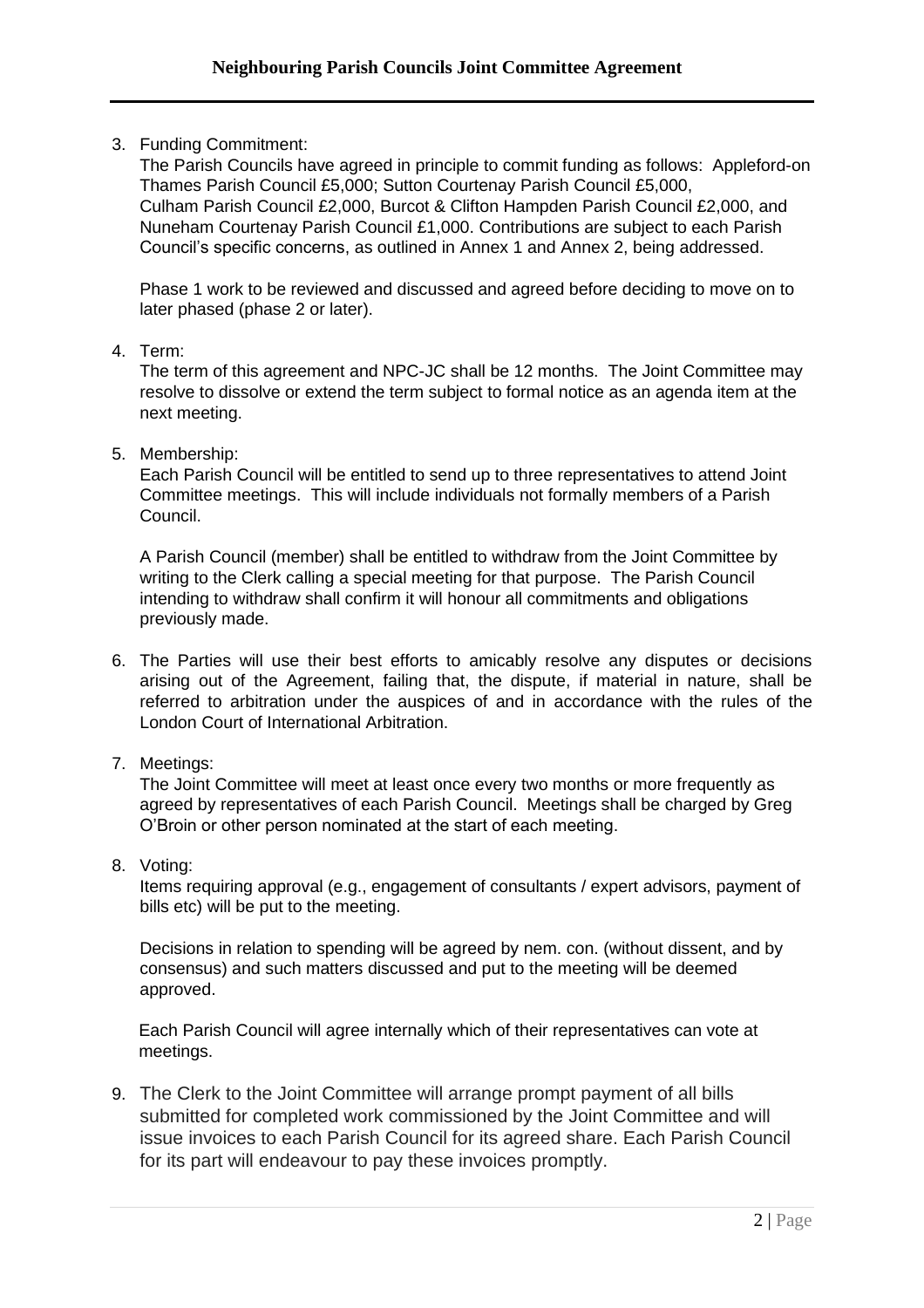3. Funding Commitment:

The Parish Councils have agreed in principle to commit funding as follows: Appleford-on Thames Parish Council £5,000; Sutton Courtenay Parish Council £5,000, Culham Parish Council £2,000, Burcot & Clifton Hampden Parish Council £2,000, and Nuneham Courtenay Parish Council £1,000. Contributions are subject to each Parish Council's specific concerns, as outlined in Annex 1 and Annex 2, being addressed.

Phase 1 work to be reviewed and discussed and agreed before deciding to move on to later phased (phase 2 or later).

4. Term:

The term of this agreement and NPC-JC shall be 12 months. The Joint Committee may resolve to dissolve or extend the term subject to formal notice as an agenda item at the next meeting.

5. Membership:

Each Parish Council will be entitled to send up to three representatives to attend Joint Committee meetings. This will include individuals not formally members of a Parish Council.

A Parish Council (member) shall be entitled to withdraw from the Joint Committee by writing to the Clerk calling a special meeting for that purpose. The Parish Council intending to withdraw shall confirm it will honour all commitments and obligations previously made.

- 6. The Parties will use their best efforts to amicably resolve any disputes or decisions arising out of the Agreement, failing that, the dispute, if material in nature, shall be referred to arbitration under the auspices of and in accordance with the rules of the London Court of International Arbitration.
- 7. Meetings:

The Joint Committee will meet at least once every two months or more frequently as agreed by representatives of each Parish Council. Meetings shall be charged by Greg O'Broin or other person nominated at the start of each meeting.

8. Voting:

Items requiring approval (e.g., engagement of consultants / expert advisors, payment of bills etc) will be put to the meeting.

Decisions in relation to spending will be agreed by nem. con. (without dissent, and by consensus) and such matters discussed and put to the meeting will be deemed approved.

Each Parish Council will agree internally which of their representatives can vote at meetings.

9. The Clerk to the Joint Committee will arrange prompt payment of all bills submitted for completed work commissioned by the Joint Committee and will issue invoices to each Parish Council for its agreed share. Each Parish Council for its part will endeavour to pay these invoices promptly.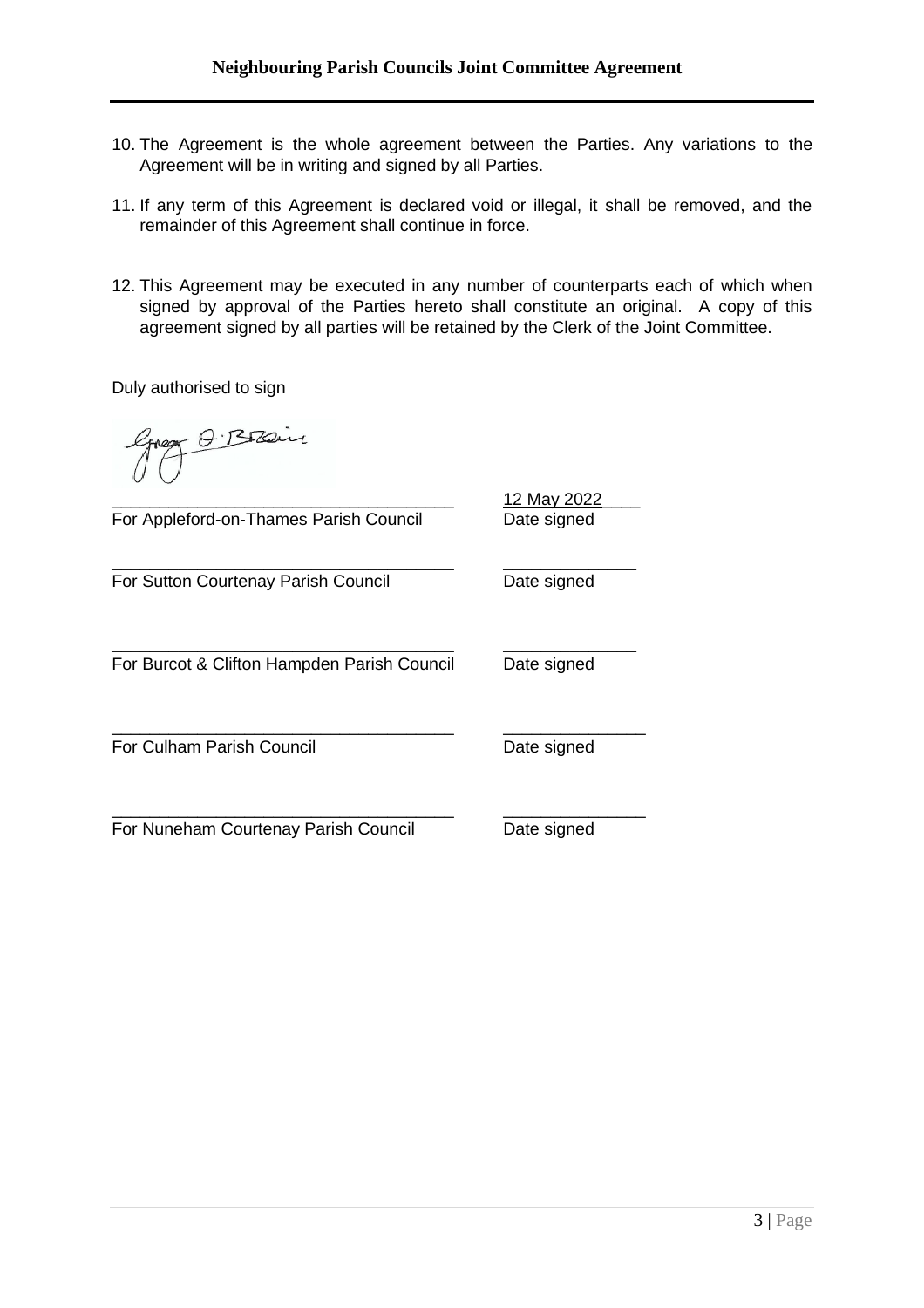- 10. The Agreement is the whole agreement between the Parties. Any variations to the Agreement will be in writing and signed by all Parties.
- 11. If any term of this Agreement is declared void or illegal, it shall be removed, and the remainder of this Agreement shall continue in force.
- 12. This Agreement may be executed in any number of counterparts each of which when signed by approval of the Parties hereto shall constitute an original. A copy of this agreement signed by all parties will be retained by the Clerk of the Joint Committee.

Duly authorised to sign

O. Brain

For Appleford-on-Thames Parish Council Date signed

For Sutton Courtenay Parish Council **Date signed** 

\_\_\_\_\_\_\_\_\_\_\_\_\_\_\_\_\_\_\_\_\_\_\_\_\_\_\_\_\_\_\_\_\_\_\_\_ \_\_\_\_\_\_\_\_\_\_\_\_\_\_ For Burcot & Clifton Hampden Parish Council Date signed

\_\_\_\_\_\_\_\_\_\_\_\_\_\_\_\_\_\_\_\_\_\_\_\_\_\_\_\_\_\_\_\_\_\_\_\_ \_\_\_\_\_\_\_\_\_\_\_\_\_\_

For Culham Parish Council **Date Signed** Date signed

For Nuneham Courtenay Parish Council Date signed

\_\_\_\_\_\_\_\_\_\_\_\_\_\_\_\_\_\_\_\_\_\_\_\_\_\_\_\_\_\_\_\_\_\_\_\_ 12 May 2022\_\_\_\_

\_\_\_\_\_\_\_\_\_\_\_\_\_\_\_\_\_\_\_\_\_\_\_\_\_\_\_\_\_\_\_\_\_\_\_\_ \_\_\_\_\_\_\_\_\_\_\_\_\_\_\_

\_\_\_\_\_\_\_\_\_\_\_\_\_\_\_\_\_\_\_\_\_\_\_\_\_\_\_\_\_\_\_\_\_\_\_\_ \_\_\_\_\_\_\_\_\_\_\_\_\_\_\_